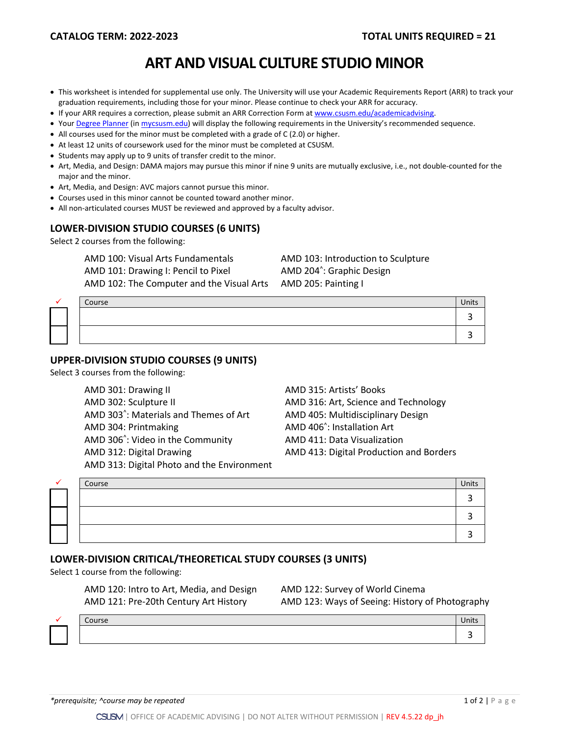# **ART AND VISUAL CULTURE STUDIO MINOR**

- This worksheet is intended for supplemental use only. The University will use your Academic Requirements Report (ARR) to track your graduation requirements, including those for your minor. Please continue to check your ARR for accuracy.
- If your ARR requires a correction, please submit an [ARR Correction Form](http://www.csusm.edu/academicadvising/arrcorrection/index.html) a[t www.csusm.edu/academicadvising.](http://www.csusm.edu/academicadvising)
- You[r Degree Planner](https://www.csusm.edu/academicadvising/degreeplanner/index.html) (i[n mycsusm.edu\)](https://my.csusm.edu/) will display the following requirements in the University's recommended sequence.
- All courses used for the minor must be completed with a grade of C (2.0) or higher.
- At least 12 units of coursework used for the minor must be completed at CSUSM.
- Students may apply up to 9 units of transfer credit to the minor.
- Art, Media, and Design: DAMA majors may pursue this minor if nine 9 units are mutually exclusive, i.e., not double-counted for the major and the minor.
- Art, Media, and Design: AVC majors cannot pursue this minor.
- Courses used in this minor cannot be counted toward another minor.
- All non-articulated courses MUST be reviewed and approved by a faculty advisor.

#### **LOWER-DIVISION STUDIO COURSES (6 UNITS)**

Select 2 courses from the following:

AMD 100: Visual Arts Fundamentals AMD 103: Introduction to Sculpture AMD 101: Drawing I: Pencil to Pixel AMD 102: The Computer and the Visual Arts AMD 205: Painting I

AMD 204<sup>^</sup>: Graphic Design

|  | Course | Units |
|--|--------|-------|
|  |        |       |
|  |        |       |

#### **UPPER-DIVISION STUDIO COURSES (9 UNITS)**

Select 3 courses from the following:

| AMD 301: Drawing II                                | AMD 315: Artists' Books                 |
|----------------------------------------------------|-----------------------------------------|
| AMD 302: Sculpture II                              | AMD 316: Art, Science and               |
| AMD 303 <sup>^</sup> : Materials and Themes of Art | AMD 405: Multidisciplinar               |
| AMD 304: Printmaking                               | AMD 406 <sup>^</sup> : Installation Art |
| AMD 306 <sup>^</sup> : Video in the Community      | AMD 411: Data Visualizati               |
| AMD 312: Digital Drawing                           | AMD 413: Digital Producti               |
| AMD 313: Digital Photo and the Environment         |                                         |

AMD 315: Artists' Books AMD 316: Art, Science and Technology AMD 405: Multidisciplinary Design AMD 411: Data Visualization AMD 413: Digital Production and Borders

|  | Course | Units |
|--|--------|-------|
|  |        |       |
|  |        |       |
|  |        |       |

#### **LOWER-DIVISION CRITICAL/THEORETICAL STUDY COURSES (3 UNITS)**

Select 1 course from the following:

AMD 120: Intro to Art, Media, and Design AMD 122: Survey of World Cinema

AMD 121: Pre-20th Century Art History AMD 123: Ways of Seeing: History of Photography



 $\checkmark$  Course Units and  $\checkmark$  Units and  $\checkmark$  Units and  $\checkmark$  Units and  $\checkmark$  Units and  $\checkmark$  Units and  $\checkmark$  Units and  $\checkmark$  Units and  $\checkmark$  Units and  $\checkmark$  Units and  $\checkmark$  Units and  $\checkmark$  Units and  $\checkmark$  Units and  $\checkmark$  3